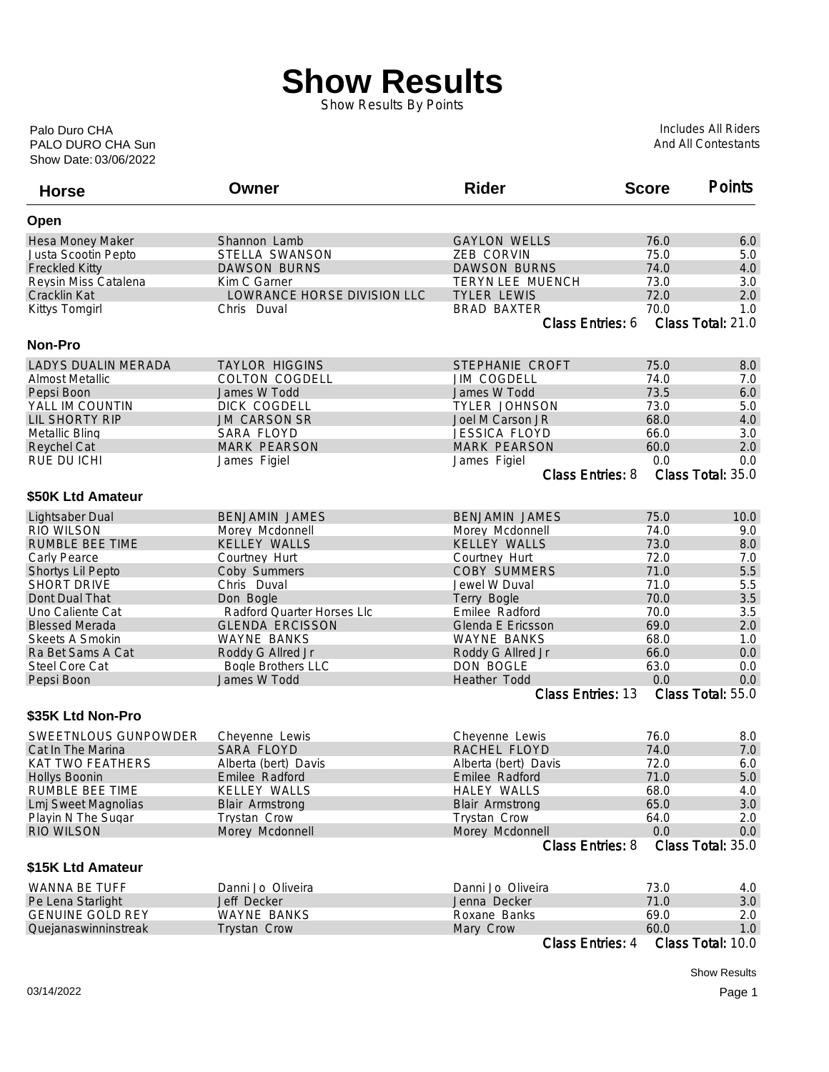## **Show Results**

Show Results By Points

Show Date: 03/06/2022 PALO DURO CHA Sun Palo Duro CHA

Includes All Riders And All Contestants

| <b>Horse</b>               | Owner                       | <b>Rider</b>             | <b>Score</b> | <b>Points</b>     |
|----------------------------|-----------------------------|--------------------------|--------------|-------------------|
| Open                       |                             |                          |              |                   |
| Hesa Money Maker           | Shannon Lamb                | <b>GAYLON WELLS</b>      | 76.0         | 6.0               |
| Justa Scootin Pepto        | STELLA SWANSON              | ZEB CORVIN               | 75.0         | 5.0               |
| <b>Freckled Kitty</b>      | <b>DAWSON BURNS</b>         | <b>DAWSON BURNS</b>      | 74.0         | 4.0               |
| Reysin Miss Catalena       | Kim C Garner                | TERYN LEE MUENCH         | 73.0         | 3.0               |
| Cracklin Kat               | LOWRANCE HORSE DIVISION LLC | <b>TYLER LEWIS</b>       | 72.0         | 2.0               |
| Kittys Tomgirl             | Chris Duval                 | <b>BRAD BAXTER</b>       | 70.0         | 1.0               |
|                            |                             | Class Entries: 6         |              | Class Total: 21.0 |
| <b>Non-Pro</b>             |                             |                          |              |                   |
| <b>LADYS DUALIN MERADA</b> | <b>TAYLOR HIGGINS</b>       | STEPHANIE CROFT          | 75.0         | 8.0               |
| <b>Almost Metallic</b>     | <b>COLTON COGDELL</b>       | <b>JIM COGDELL</b>       | 74.0         | 7.0               |
| Pepsi Boon                 | James W Todd                | James W Todd             | 73.5         | 6.0               |
| YALL IM COUNTIN            | DICK COGDELL                | <b>TYLER JOHNSON</b>     | 73.0         | 5.0               |
| <b>LIL SHORTY RIP</b>      | <b>JM CARSON SR</b>         | Joel M Carson JR         | 68.0         | 4.0               |
| Metallic Bling             | SARA FLOYD                  | <b>JESSICA FLOYD</b>     | 66.0         | 3.0               |
| <b>Reychel Cat</b>         | <b>MARK PEARSON</b>         | <b>MARK PEARSON</b>      | 60.0         | 2.0               |
| RUE DU ICHI                | James Figiel                | James Figiel             | 0.0          | 0.0               |
|                            |                             | <b>Class Entries: 8</b>  |              | Class Total: 35.0 |
| \$50K Ltd Amateur          |                             |                          |              |                   |
| Lightsaber Dual            | <b>BENJAMIN JAMES</b>       | <b>BENJAMIN JAMES</b>    | 75.0         | 10.0              |
| <b>RIO WILSON</b>          | Morey Mcdonnell             | Morey Mcdonnell          | 74.0         | 9.0               |
| <b>RUMBLE BEE TIME</b>     | <b>KELLEY WALLS</b>         | <b>KELLEY WALLS</b>      | 73.0         | 8.0               |
| Carly Pearce               | Courtney Hurt               | Courtney Hurt            | 72.0         | 7.0               |
| Shortys Lil Pepto          | Coby Summers                | <b>COBY SUMMERS</b>      | 71.0         | 5.5               |
| <b>SHORT DRIVE</b>         | Chris Duval                 | Jewel W Duval            | 71.0         | 5.5               |
| Dont Dual That             | Don Bogle                   | Terry Bogle              | 70.0         | 3.5               |
| Uno Caliente Cat           | Radford Quarter Horses Llc  | Emilee Radford           | 70.0         | 3.5               |
| <b>Blessed Merada</b>      | <b>GLENDA ERCISSON</b>      | Glenda E Ericsson        | 69.0         | 2.0               |
| Skeets A Smokin            | <b>WAYNE BANKS</b>          | <b>WAYNE BANKS</b>       | 68.0         | 1.0               |
| Ra Bet Sams A Cat          | Roddy G Allred Jr           | Roddy G Allred Jr        | 66.0         | 0.0               |
| Steel Core Cat             | <b>Bogle Brothers LLC</b>   | DON BOGLE                | 63.0         | 0.0               |
| Pepsi Boon                 | James W Todd                | Heather Todd             | 0.0          | 0.0               |
|                            |                             | <b>Class Entries: 13</b> |              | Class Total: 55.0 |
| \$35K Ltd Non-Pro          |                             |                          |              |                   |
| SWEETNLOUS GUNPOWDER       | Cheyenne Lewis              | Cheyenne Lewis           | 76.0         | 8.0               |
| Cat In The Marina          | <b>SARA FLOYD</b>           | RACHEL FLOYD             | 74.0         | 7.0               |
| <b>KAT TWO FEATHERS</b>    | Alberta (bert) Davis        | Alberta (bert) Davis     | 72.0         | 6.0               |
| <b>Hollys Boonin</b>       | Emilee Radford              | Emilee Radford           | 71.0         | 5.0               |
| RUMBLE BEE TIME            | <b>KELLEY WALLS</b>         | <b>HALEY WALLS</b>       | 68.0         | 4.0               |
| <b>Lmj Sweet Magnolias</b> | <b>Blair Armstrong</b>      | <b>Blair Armstrong</b>   | 65.0         | 3.0               |
| Playin N The Sugar         | <b>Trystan Crow</b>         | <b>Trystan Crow</b>      | 64.0         | 2.0               |
| <b>RIO WILSON</b>          | Morey Mcdonnell             | Morey Mcdonnell          | 0.0          | 0.0               |
|                            |                             | <b>Class Entries: 8</b>  |              | Class Total: 35.0 |
| \$15K Ltd Amateur          |                             |                          |              |                   |
| WANNA BE TUFF              | Danni Jo Oliveira           | Danni Jo Oliveira        | 73.0         | 4.0               |
| Pe Lena Starlight          | Jeff Decker                 | Jenna Decker             | 71.0         | 3.0               |
| <b>GENUINE GOLD REY</b>    | <b>WAYNE BANKS</b>          | Roxane Banks             | 69.0         | 2.0               |
| Quejanaswinninstreak       | Trystan Crow                | Mary Crow                | 60.0         | 1.0               |
|                            |                             | Class Entries: 4         |              | Class Total: 10.0 |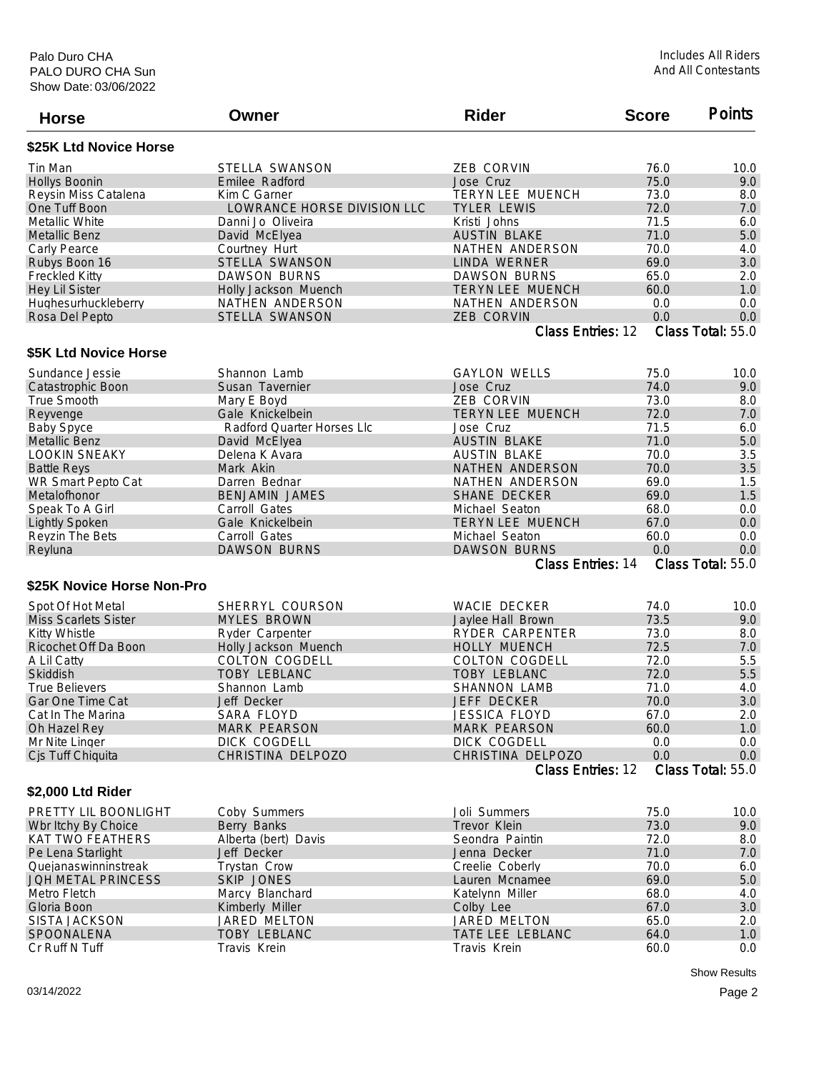| <b>Horse</b>                | Owner                       | <b>Rider</b>             | <b>Score</b> | <b>Points</b>     |
|-----------------------------|-----------------------------|--------------------------|--------------|-------------------|
| \$25K Ltd Novice Horse      |                             |                          |              |                   |
| Tin Man                     | STELLA SWANSON              | <b>ZEB CORVIN</b>        | 76.0         | 10.0              |
| <b>Hollys Boonin</b>        | Emilee Radford              | Jose Cruz                | 75.0         | 9.0               |
| Reysin Miss Catalena        | Kim C Garner                | TERYN LEE MUENCH         | 73.0         | 8.0               |
| One Tuff Boon               | LOWRANCE HORSE DIVISION LLC | <b>TYLER LEWIS</b>       | 72.0         | 7.0               |
| Metallic White              | Danni Jo Oliveira           | Kristi Johns             | 71.5         | 6.0               |
| <b>Metallic Benz</b>        | David McElyea               | <b>AUSTIN BLAKE</b>      | 71.0         | 5.0               |
| Carly Pearce                | Courtney Hurt               | NATHEN ANDERSON          | 70.0         | 4.0               |
| Rubys Boon 16               | STELLA SWANSON              | LINDA WERNER             | 69.0         | 3.0               |
| <b>Freckled Kitty</b>       | <b>DAWSON BURNS</b>         | <b>DAWSON BURNS</b>      | 65.0         | 2.0               |
| <b>Hey Lil Sister</b>       | Holly Jackson Muench        | TERYN LEE MUENCH         | 60.0         | 1.0               |
| Hughesurhuckleberry         | NATHEN ANDERSON             | NATHEN ANDERSON          | 0.0          | 0.0               |
| Rosa Del Pepto              | STELLA SWANSON              | ZEB CORVIN               | 0.0          | 0.0               |
|                             |                             | Class Entries: 12        |              | Class Total: 55.0 |
| \$5K Ltd Novice Horse       |                             |                          |              |                   |
| Sundance Jessie             | Shannon Lamb                | <b>GAYLON WELLS</b>      | 75.0         | 10.0              |
| Catastrophic Boon           | Susan Tavernier             | Jose Cruz                | 74.0         | 9.0               |
| True Smooth                 | Mary E Boyd                 | <b>ZEB CORVIN</b>        | 73.0         | 8.0               |
| Reyvenge                    | Gale Knickelbein            | <b>TERYN LEE MUENCH</b>  | 72.0         | 7.0               |
| <b>Baby Spyce</b>           | Radford Quarter Horses Llc  | Jose Cruz                | 71.5         | 6.0               |
| <b>Metallic Benz</b>        | David McElyea               | <b>AUSTIN BLAKE</b>      | 71.0         | 5.0               |
| <b>LOOKIN SNEAKY</b>        | Delena K Avara              | <b>AUSTIN BLAKE</b>      | 70.0         | 3.5               |
| <b>Battle Reys</b>          | Mark Akin                   | NATHEN ANDERSON          | 70.0         | 3.5               |
| WR Smart Pepto Cat          | Darren Bednar               | NATHEN ANDERSON          | 69.0         | 1.5               |
| Metalofhonor                | <b>BENJAMIN JAMES</b>       | <b>SHANE DECKER</b>      | 69.0         | 1.5               |
| Speak To A Girl             | Carroll Gates               | Michael Seaton           | 68.0         | 0.0               |
| <b>Lightly Spoken</b>       | Gale Knickelbein            | <b>TERYN LEE MUENCH</b>  | 67.0         | 0.0               |
|                             | Carroll Gates               | Michael Seaton           | 60.0         | 0.0               |
| Reyzin The Bets<br>Reyluna  | <b>DAWSON BURNS</b>         | <b>DAWSON BURNS</b>      | 0.0          | 0.0               |
|                             |                             | <b>Class Entries: 14</b> |              | Class Total: 55.0 |
| \$25K Novice Horse Non-Pro  |                             |                          |              |                   |
|                             |                             |                          |              |                   |
| Spot Of Hot Metal           | SHERRYL COURSON             | WACIE DECKER             | 74.0         | 10.0              |
| <b>Miss Scarlets Sister</b> | <b>MYLES BROWN</b>          | Jaylee Hall Brown        | 73.5         | 9.0               |
| <b>Kitty Whistle</b>        | Ryder Carpenter             | <b>RYDER CARPENTER</b>   | 73.0         | 8.0               |
| Ricochet Off Da Boon        | Holly Jackson Muench        | <b>HOLLY MUENCH</b>      | 72.5         | 7.0               |
| A Lil Catty                 | <b>COLTON COGDELL</b>       | COLTON COGDELL           | 72.0         | 5.5               |
| Skiddish                    | <b>TOBY LEBLANC</b>         | <b>TOBY LEBLANC</b>      | 72.0         | 5.5               |
| <b>True Believers</b>       | Shannon Lamb                | <b>SHANNON LAMB</b>      | 71.0         | 4.0               |
| Gar One Time Cat            | Jeff Decker                 | JEFF DECKER              | 70.0         | 3.0               |
| Cat In The Marina           | SARA FLOYD                  | JESSICA FLOYD            | 67.0         | 2.0               |
| Oh Hazel Rey                | <b>MARK PEARSON</b>         | <b>MARK PEARSON</b>      | 60.0         | 1.0               |
| Mr Nite Linger              | DICK COGDELL                | DICK COGDELL             | 0.0          | 0.0               |
| Cjs Tuff Chiquita           | CHRISTINA DELPOZO           | CHRISTINA DELPOZO        | 0.0          | 0.0               |
|                             |                             | Class Entries: 12        |              | Class Total: 55.0 |
| \$2,000 Ltd Rider           |                             |                          |              |                   |
| PRETTY LIL BOONLIGHT        | Coby Summers                | Joli Summers             | 75.0         | 10.0              |
| Wbr Itchy By Choice         | Berry Banks                 | Trevor Klein             | 73.0         | 9.0               |
| <b>KAT TWO FEATHERS</b>     | Alberta (bert) Davis        | Seondra Paintin          | 72.0         | 8.0               |
| Pe Lena Starlight           | Jeff Decker                 | Jenna Decker             | 71.0         | 7.0               |
| Quejanaswinninstreak        | <b>Trystan Crow</b>         | Creelie Coberly          | 70.0         | 6.0               |
| JOH METAL PRINCESS          | <b>SKIP JONES</b>           | Lauren Mcnamee           | 69.0         | $5.0\,$           |
| Metro Fletch                | Marcy Blanchard             | Katelynn Miller          | 68.0         | 4.0               |
| Gloria Boon                 | Kimberly Miller             | Colby Lee                | 67.0         | 3.0               |
| <b>SISTA JACKSON</b>        | JARED MELTON                | JARED MELTON             | 65.0         | 2.0               |
| SPOONALENA                  | <b>TOBY LEBLANC</b>         | TATE LEE LEBLANC         | 64.0         | 1.0               |
| Cr Ruff N Tuff              | Travis Krein                | Travis Krein             | 60.0         | 0.0               |

Show Results